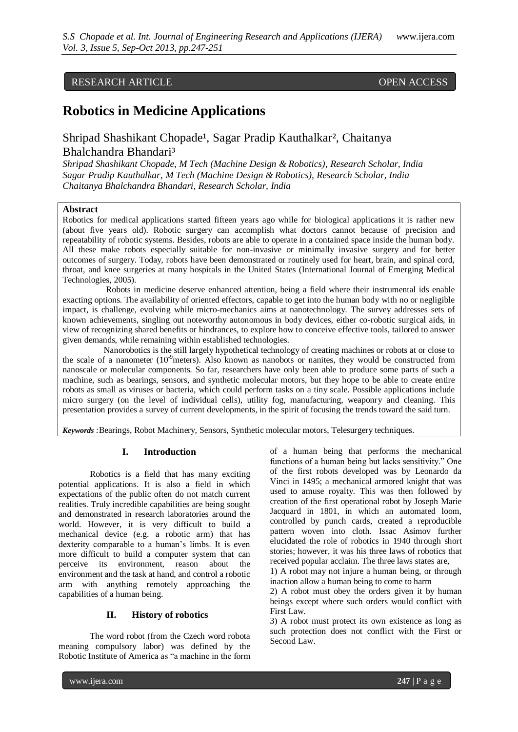# RESEARCH ARTICLE OPEN ACCESS

# **Robotics in Medicine Applications**

# Shripad Shashikant Chopade<sup>1</sup>, Sagar Pradip Kauthalkar<sup>2</sup>, Chaitanya Bhalchandra Bhandari³

*Shripad Shashikant Chopade, M Tech (Machine Design & Robotics), Research Scholar, India Sagar Pradip Kauthalkar, M Tech (Machine Design & Robotics), Research Scholar, India Chaitanya Bhalchandra Bhandari, Research Scholar, India*

#### **Abstract**

Robotics for medical applications started fifteen years ago while for biological applications it is rather new (about five years old). Robotic surgery can accomplish what doctors cannot because of precision and repeatability of robotic systems. Besides, robots are able to operate in a contained space inside the human body. All these make robots especially suitable for non-invasive or minimally invasive surgery and for better outcomes of surgery. Today, robots have been demonstrated or routinely used for heart, brain, and spinal cord, throat, and knee surgeries at many hospitals in the United States (International Journal of Emerging Medical Technologies, 2005).

 Robots in medicine deserve enhanced attention, being a field where their instrumental ids enable exacting options. The availability of oriented effectors, capable to get into the human body with no or negligible impact, is challenge, evolving while micro-mechanics aims at nanotechnology. The survey addresses sets of known achievements, singling out noteworthy autonomous in body devices, either co-robotic surgical aids, in view of recognizing shared benefits or hindrances, to explore how to conceive effective tools, tailored to answer given demands, while remaining within established technologies.

 Nanorobotics is the still largely hypothetical technology of creating machines or robots at or close to the scale of a nanometer  $(10^9$ meters). Also known as nanobots or nanites, they would be constructed from nanoscale or molecular components. So far, researchers have only been able to produce some parts of such a machine, such as bearings, sensors, and synthetic molecular motors, but they hope to be able to create entire robots as small as viruses or bacteria, which could perform tasks on a tiny scale. Possible applications include micro surgery (on the level of individual cells), utility fog, manufacturing, weaponry and cleaning. This presentation provides a survey of current developments, in the spirit of focusing the trends toward the said turn.

*Keywords :*Bearings, Robot Machinery, Sensors, Synthetic molecular motors, Telesurgery techniques.

## **I. Introduction**

Robotics is a field that has many exciting potential applications. It is also a field in which expectations of the public often do not match current realities. Truly incredible capabilities are being sought and demonstrated in research laboratories around the world. However, it is very difficult to build a mechanical device (e.g. a robotic arm) that has dexterity comparable to a human's limbs. It is even more difficult to build a computer system that can perceive its environment, reason about the environment and the task at hand, and control a robotic arm with anything remotely approaching the capabilities of a human being.

#### **II. History of robotics**

The word robot (from the Czech word robota meaning compulsory labor) was defined by the Robotic Institute of America as "a machine in the form

of a human being that performs the mechanical functions of a human being but lacks sensitivity." One of the first robots developed was by Leonardo da Vinci in 1495; a mechanical armored knight that was used to amuse royalty. This was then followed by creation of the first operational robot by Joseph Marie Jacquard in 1801, in which an automated loom, controlled by punch cards, created a reproducible pattern woven into cloth. Issac Asimov further elucidated the role of robotics in 1940 through short stories; however, it was his three laws of robotics that received popular acclaim. The three laws states are,

1) A robot may not injure a human being, or through inaction allow a human being to come to harm

2) A robot must obey the orders given it by human beings except where such orders would conflict with First Law.

3) A robot must protect its own existence as long as such protection does not conflict with the First or Second Law.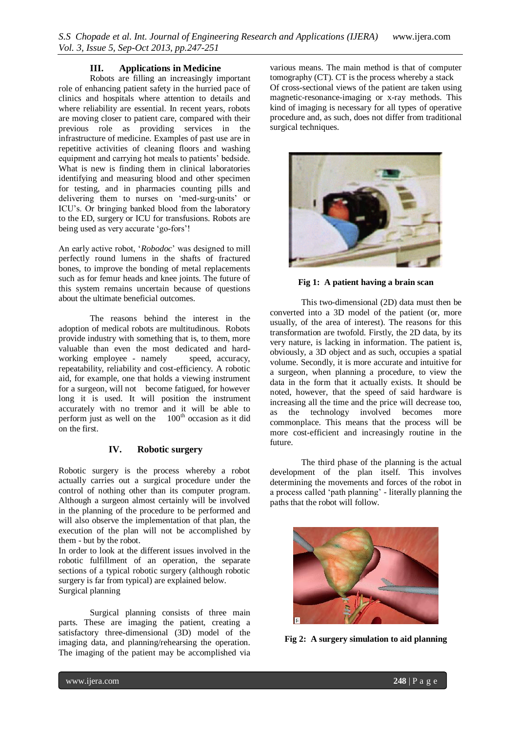## **III. Applications in Medicine**

Robots are filling an increasingly important role of enhancing patient safety in the hurried pace of clinics and hospitals where attention to details and where reliability are essential. In recent years, robots are moving closer to patient care, compared with their previous role as providing services in the infrastructure of medicine. Examples of past use are in repetitive activities of cleaning floors and washing equipment and carrying hot meals to patients" bedside. What is new is finding them in clinical laboratories identifying and measuring blood and other specimen for testing, and in pharmacies counting pills and delivering them to nurses on 'med-surg-units' or ICU"s. Or bringing banked blood from the laboratory to the ED, surgery or ICU for transfusions. Robots are being used as very accurate 'go-fors'!

An early active robot, "*Robodoc*" was designed to mill perfectly round lumens in the shafts of fractured bones, to improve the bonding of metal replacements such as for femur heads and knee joints. The future of this system remains uncertain because of questions about the ultimate beneficial outcomes.

The reasons behind the interest in the adoption of medical robots are multitudinous. Robots provide industry with something that is, to them, more valuable than even the most dedicated and hardworking employee - namely speed, accuracy, repeatability, reliability and cost-efficiency. A robotic aid, for example, one that holds a viewing instrument for a surgeon, will not become fatigued, for however long it is used. It will position the instrument accurately with no tremor and it will be able to perform just as well on the  $100<sup>th</sup>$  occasion as it did on the first.

# **IV. Robotic surgery**

Robotic surgery is the process whereby a robot actually carries out a surgical procedure under the control of nothing other than its computer program. Although a surgeon almost certainly will be involved in the planning of the procedure to be performed and will also observe the implementation of that plan, the execution of the plan will not be accomplished by them - but by the robot.

In order to look at the different issues involved in the robotic fulfillment of an operation, the separate sections of a typical robotic surgery (although robotic surgery is far from typical) are explained below. Surgical planning

Surgical planning consists of three main parts. These are imaging the patient, creating a satisfactory three-dimensional (3D) model of the imaging data, and planning/rehearsing the operation. The imaging of the patient may be accomplished via

various means. The main method is that of computer tomography (CT). CT is the process whereby a stack Of cross-sectional views of the patient are taken using magnetic-resonance-imaging or x-ray methods. This kind of imaging is necessary for all types of operative procedure and, as such, does not differ from traditional surgical techniques.



**Fig 1: A patient having a brain scan**

This two-dimensional (2D) data must then be converted into a 3D model of the patient (or, more usually, of the area of interest). The reasons for this transformation are twofold. Firstly, the 2D data, by its very nature, is lacking in information. The patient is, obviously, a 3D object and as such, occupies a spatial volume. Secondly, it is more accurate and intuitive for a surgeon, when planning a procedure, to view the data in the form that it actually exists. It should be noted, however, that the speed of said hardware is increasing all the time and the price will decrease too, as the technology involved becomes more commonplace. This means that the process will be more cost-efficient and increasingly routine in the future.

The third phase of the planning is the actual development of the plan itself. This involves determining the movements and forces of the robot in a process called "path planning" - literally planning the paths that the robot will follow.



**Fig 2:****A surgery simulation to aid planning**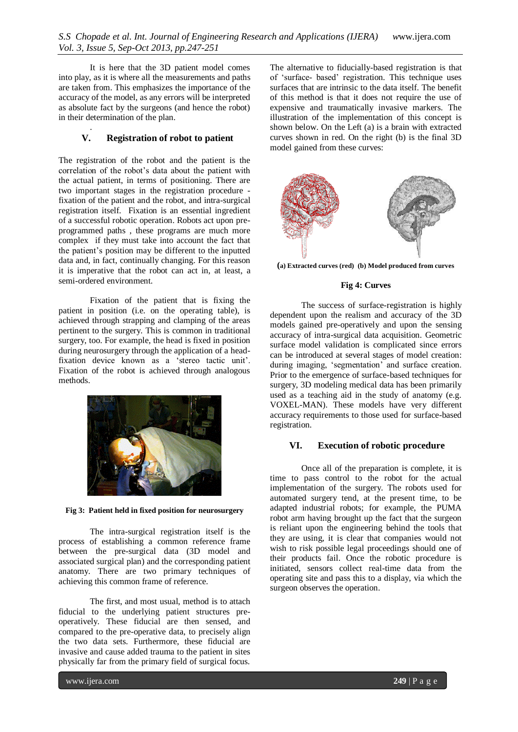It is here that the 3D patient model comes into play, as it is where all the measurements and paths are taken from. This emphasizes the importance of the accuracy of the model, as any errors will be interpreted as absolute fact by the surgeons (and hence the robot) in their determination of the plan.

# **V. Registration of robot to patient**

.

The registration of the robot and the patient is the correlation of the robot's data about the patient with the actual patient, in terms of positioning. There are two important stages in the registration procedure fixation of the patient and the robot, and intra-surgical registration itself. Fixation is an essential ingredient of a successful robotic operation. Robots act upon preprogrammed paths , these programs are much more complex if they must take into account the fact that the patient"s position may be different to the inputted data and, in fact, continually changing. For this reason it is imperative that the robot can act in, at least, a semi-ordered environment.

Fixation of the patient that is fixing the patient in position (i.e. on the operating table), is achieved through strapping and clamping of the areas pertinent to the surgery. This is common in traditional surgery, too. For example, the head is fixed in position during neurosurgery through the application of a headfixation device known as a "stereo tactic unit". Fixation of the robot is achieved through analogous methods.



**Fig 3: Patient held in fixed position for neurosurgery**

The intra-surgical registration itself is the process of establishing a common reference frame between the pre-surgical data (3D model and associated surgical plan) and the corresponding patient anatomy. There are two primary techniques of achieving this common frame of reference.

The first, and most usual, method is to attach fiducial to the underlying patient structures preoperatively. These fiducial are then sensed, and compared to the pre-operative data, to precisely align the two data sets. Furthermore, these fiducial are invasive and cause added trauma to the patient in sites physically far from the primary field of surgical focus.

The alternative to fiducially-based registration is that of "surface- based" registration. This technique uses surfaces that are intrinsic to the data itself. The benefit of this method is that it does not require the use of expensive and traumatically invasive markers. The illustration of the implementation of this concept is shown below. On the Left (a) is a brain with extracted curves shown in red. On the right (b) is the final 3D model gained from these curves:



**(a) Extracted curves (red) (b) Model produced from curves**

# **Fig 4: Curves**

The success of surface-registration is highly dependent upon the realism and accuracy of the 3D models gained pre-operatively and upon the sensing accuracy of intra-surgical data acquisition. Geometric surface model validation is complicated since errors can be introduced at several stages of model creation: during imaging, "segmentation" and surface creation. Prior to the emergence of surface-based techniques for surgery, 3D modeling medical data has been primarily used as a teaching aid in the study of anatomy (e.g. VOXEL-MAN). These models have very different accuracy requirements to those used for surface-based registration.

# **VI. Execution of robotic procedure**

Once all of the preparation is complete, it is time to pass control to the robot for the actual implementation of the surgery. The robots used for automated surgery tend, at the present time, to be adapted industrial robots; for example, the PUMA robot arm having brought up the fact that the surgeon is reliant upon the engineering behind the tools that they are using, it is clear that companies would not wish to risk possible legal proceedings should one of their products fail. Once the robotic procedure is initiated, sensors collect real-time data from the operating site and pass this to a display, via which the surgeon observes the operation.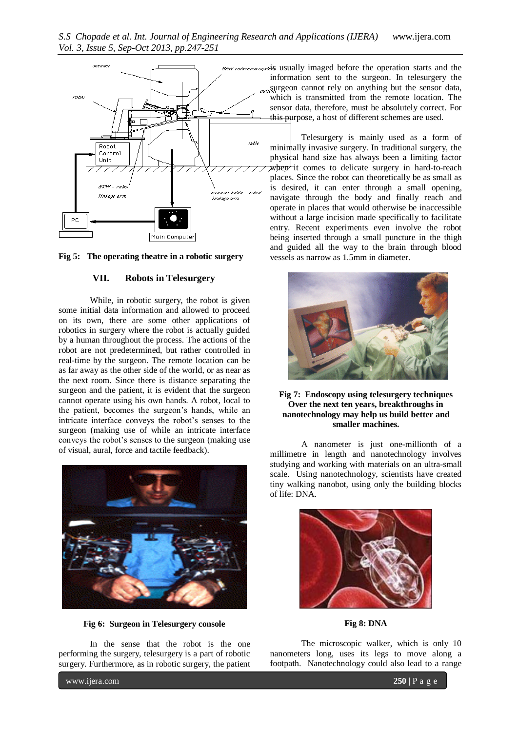



#### **VII. Robots in Telesurgery**

While, in robotic surgery, the robot is given some initial data information and allowed to proceed on its own, there are some other applications of robotics in surgery where the robot is actually guided by a human throughout the process. The actions of the robot are not predetermined, but rather controlled in real-time by the surgeon. The remote location can be as far away as the other side of the world, or as near as the next room. Since there is distance separating the surgeon and the patient, it is evident that the surgeon cannot operate using his own hands. A robot, local to the patient, becomes the surgeon"s hands, while an intricate interface conveys the robot"s senses to the surgeon (making use of while an intricate interface conveys the robot"s senses to the surgeon (making use of visual, aural, force and tactile feedback).



**Fig 6:****Surgeon in Telesurgery console**

In the sense that the robot is the one performing the surgery, telesurgery is a part of robotic surgery. Furthermore, as in robotic surgery, the patient

BRW reference systemS usually imaged before the operation starts and the information sent to the surgeon. In telesurgery the *patien* cannot rely on anything but the sensor data, which is transmitted from the remote location. The sensor data, therefore, must be absolutely correct. For this purpose, a host of different schemes are used.

> Telesurgery is mainly used as a form of minimally invasive surgery. In traditional surgery, the physical hand size has always been a limiting factor  $\overline{\text{wper}}$  it comes to delicate surgery in hard-to-reach places. Since the robot can theoretically be as small as is desired, it can enter through a small opening, navigate through the body and finally reach and operate in places that would otherwise be inaccessible without a large incision made specifically to facilitate entry. Recent experiments even involve the robot being inserted through a small puncture in the thigh and guided all the way to the brain through blood vessels as narrow as 1.5mm in diameter.



#### **Fig 7:****Endoscopy using telesurgery techniques Over the next ten years, breakthroughs in nanotechnology may help us build better and smaller machines.**

A nanometer is just one-millionth of a millimetre in length and nanotechnology involves studying and working with materials on an ultra-small scale. Using nanotechnology, scientists have created tiny walking nanobot, using only the building blocks of life: DNA.



**Fig 8: DNA**

The microscopic walker, which is only 10 nanometers long, uses its legs to move along a footpath. Nanotechnology could also lead to a range